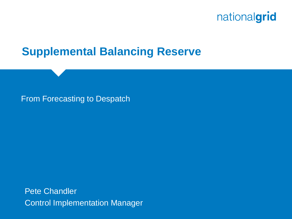### **Supplemental Balancing Reserve**

#### From Forecasting to Despatch

Pete Chandler Control Implementation Manager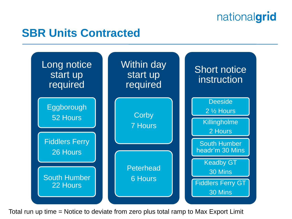## **SBR Units Contracted**



Total run up time = Notice to deviate from zero plus total ramp to Max Export Limit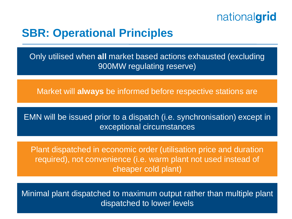

### **SBR: Operational Principles**

Only utilised when **all** market based actions exhausted (excluding 900MW regulating reserve)

Market will **always** be informed before respective stations are

EMN will be issued prior to a dispatch (i.e. synchronisation) except in exceptional circumstances

Plant dispatched in economic order (utilisation price and duration required), not convenience (i.e. warm plant not used instead of cheaper cold plant)

Minimal plant dispatched to maximum output rather than multiple plant dispatched to lower levels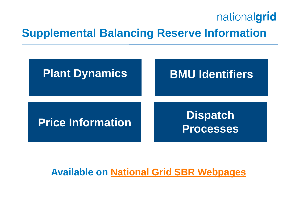## **Supplemental Balancing Reserve Information**



#### **Available on [National Grid SBR Webpages](http://www2.nationalgrid.com/UK/Services/Balancing-services/System-security/Contingency-balancing-reserve/Operational-Information/)**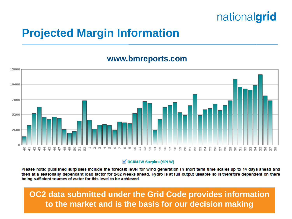## **Projected Margin Information**

#### **www.bmreports.com**



◯ OCNMFW Surplus (SPLW)

Please note: published surpluses include the forecast level for wind generation in short term time scales up to 14 days ahead and then at a seasonally dependant load factor for 2-52 weeks ahead. Hydro is at full output useable so is therefore dependent on there being sufficient sources of water for this level to be achieved.

5 **to the market and is the basis for our decision makingOC2 data submitted under the Grid Code provides information**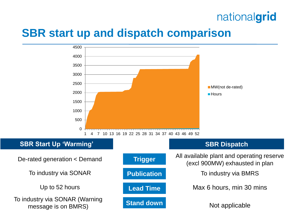### **SBR start up and dispatch comparison**

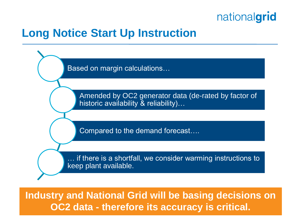

## **Long Notice Start Up Instruction**

Based on margin calculations…

Amended by OC2 generator data (de-rated by factor of historic availability & reliability)...

Compared to the demand forecast….

if there is a shortfall, we consider warming instructions to keep plant available.

7 **OC2 data - therefore its accuracy is critical.Industry and National Grid will be basing decisions on**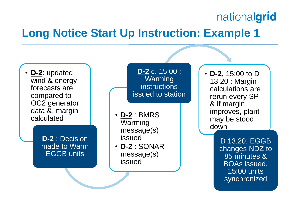## **Long Notice Start Up Instruction: Example 1**



• **D-2**, 15:00 to D 13:20 : Margin calculations are rerun every SP & if margin improves, plant may be stood down

> D 13:20: EGGB changes NDZ to 85 minutes & BOAs issued. 15:00 units synchronized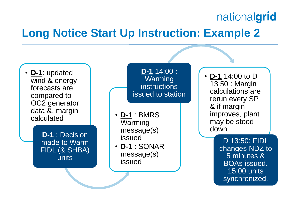## **Long Notice Start Up Instruction: Example 2**

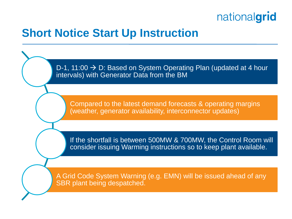

#### **Short Notice Start Up Instruction**

D-1, 11:00  $\rightarrow$  D: Based on System Operating Plan (updated at 4 hour intervals) with Generator Data from the BM

Compared to the latest demand forecasts & operating margins (weather, generator availability, interconnector updates)

If the shortfall is between 500MW & 700MW, the Control Room will consider issuing Warming instructions so to keep plant available.

A Grid Code System Warning (e.g. EMN) will be issued ahead of any SBR plant being despatched.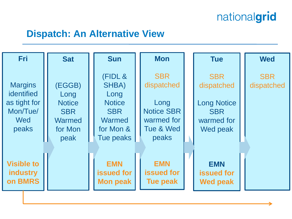#### **Dispatch: An Alternative View**

| <b>Fri</b>                                                               | <b>Sat</b>                                                                        | <b>Sun</b>                                                                                  | <b>Mon</b>                                                                                | <b>Tue</b>                                                                             | <b>Wed</b>               |
|--------------------------------------------------------------------------|-----------------------------------------------------------------------------------|---------------------------------------------------------------------------------------------|-------------------------------------------------------------------------------------------|----------------------------------------------------------------------------------------|--------------------------|
| <b>Margins</b><br>identified<br>as tight for<br>Mon/Tue/<br>Wed<br>peaks | (EGGB)<br>Long<br><b>Notice</b><br><b>SBR</b><br><b>Warmed</b><br>for Mon<br>peak | (FIDL &<br>SHBA)<br>Long<br><b>Notice</b><br><b>SBR</b><br>Warmed<br>for Mon &<br>Tue peaks | <b>SBR</b><br>dispatched<br>Long<br><b>Notice SBR</b><br>warmed for<br>Tue & Wed<br>peaks | <b>SBR</b><br>dispatched<br><b>Long Notice</b><br><b>SBR</b><br>warmed for<br>Wed peak | <b>SBR</b><br>dispatched |
| <b>Visible to</b><br><b>industry</b><br>on BMRS                          |                                                                                   | <b>EMN</b><br><b>issued for</b><br><b>Mon peak</b>                                          | <b>EMN</b><br><b>issued for</b><br><b>Tue peak</b>                                        | <b>EMN</b><br><b>issued for</b><br><b>Wed peak</b>                                     |                          |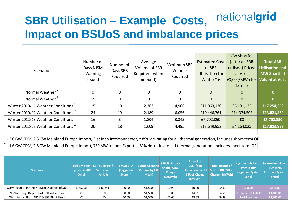#### nationalgrid **SBR Utilisation – Example Costs, Impact on BSUoS and imbalance prices**

| Scenario                                                                                                                                                | Number of<br>Days NISM<br>Warning<br>Issued | Number of<br>Days SBR<br>Required | Average<br>Volume of SBR<br>Required (when<br>needed) | <b>Maximum SBR</b><br>Volume<br>Required | <b>Estimated Cost</b><br>of SBR<br>Utilisation for<br>Winter '16 | <b>MW Shortfall</b><br>(after all SBR<br>utilised) Priced<br>at VoLL<br>£3,000/MWh for<br>45 mins | <b>Total SBR</b><br><b>Utilisation and</b><br><b>MW Shortfall</b><br><b>Valued at VoLL</b> |  |
|---------------------------------------------------------------------------------------------------------------------------------------------------------|---------------------------------------------|-----------------------------------|-------------------------------------------------------|------------------------------------------|------------------------------------------------------------------|---------------------------------------------------------------------------------------------------|--------------------------------------------------------------------------------------------|--|
| Normal Weather <sup>1</sup>                                                                                                                             | 0                                           | 0                                 | 0                                                     | $\mathbf 0$                              | $\mathbf{0}$                                                     | $\overline{0}$                                                                                    | $\mathbf{0}$                                                                               |  |
| Normal Weather <sup>2</sup>                                                                                                                             | 15                                          | 0                                 | $\Omega$                                              | 0                                        | $\mathbf 0$                                                      | $\Omega$                                                                                          | $\mathbf{0}$                                                                               |  |
| Winter 2010/11 Weather Conditions <sup>1</sup>                                                                                                          | 15                                          | 10                                | 2,363                                                 | 4,906                                    | £11,063,130                                                      | £6,191,122                                                                                        | £17,254,252                                                                                |  |
| Winter 2010/11 Weather Conditions <sup>2</sup>                                                                                                          | 24                                          | 19                                | 2,189                                                 | 6,056                                    | £19,446,761                                                      | £14,374,503                                                                                       | £33,821,264                                                                                |  |
| Winter 2012/13 Weather Conditions <sup>1</sup>                                                                                                          | 16                                          | 8                                 | 1,804                                                 | 3,345                                    | £7,702,350                                                       | E <sub>0</sub>                                                                                    | £7,702,350                                                                                 |  |
| Winter 2012/13 Weather Conditions <sup>2</sup>                                                                                                          | 20                                          | 18                                | 1,609                                                 | 4,495                                    | £13,649,952                                                      | £4,164,025                                                                                        | £17,813,977                                                                                |  |
|                                                                                                                                                         |                                             |                                   |                                                       |                                          |                                                                  |                                                                                                   |                                                                                            |  |
| <sup>1</sup> - 2.0 GW CDM, 2.5 GW Mainland Europe Import, Flat Irish Interconnector, ~ 89% de-rating for all thermal generation, includes short-term OR |                                             |                                   |                                                       |                                          |                                                                  |                                                                                                   |                                                                                            |  |

 $^2$  - 1.6 GW CDM, 2.5 GW Mainland Europe Import, 750 MW Ireland Export,  $\sim$  89% de-rating for all thermal generation, includes short-term OR

| <b>Scenario</b>                              | up Costs (SBR<br>Only) | Total BM Start- SBR SU by HH (4)<br><b>Settlement</b><br><b>Periods</b> ) | <b>BMSU BPA</b><br>(Tagged as<br>System) | <b>BSUoS Charging</b><br><b>Volume by HH</b><br>(MWh) | <b>SBR SU Impact</b><br><b>on HH BSUoS</b><br>Charge<br>(E/MWh) | Impact of<br><b>DSBR/SBR</b><br><b>Utilisation on HH</b><br><b>BSUoS Charge</b><br>(E/MWh) | <b>Total Impact of</b><br><b>SBR on HH BSUOS</b><br>Charge (£/MWh) | <b>Price if NIV</b><br><b>Negative (System</b><br>Long) | System Imbalance   System Imbalance<br><b>Price if NIV</b><br><b>Positive (System</b><br>Short) |
|----------------------------------------------|------------------------|---------------------------------------------------------------------------|------------------------------------------|-------------------------------------------------------|-----------------------------------------------------------------|--------------------------------------------------------------------------------------------|--------------------------------------------------------------------|---------------------------------------------------------|-------------------------------------------------------------------------------------------------|
| Warming of Plant, no NISM or Dispatch of SBR | £185,136               | £46,284                                                                   | £0.00                                    | 51,500                                                | £0.90                                                           | £0.00                                                                                      | £0.90                                                              | £48.00                                                  | £573.89                                                                                         |
| No Warming, Dispatch of SBR Within Day       | £0                     | £0                                                                        | £0.00                                    | 51,500                                                | £0.00                                                           | £4.51                                                                                      | £4.51                                                              | Unlikely but £60.00                                     | £3,000.00                                                                                       |
| Warming of Plant, NISM & SBR Plant Used      | £0                     | £0                                                                        | £0.00                                    | 51,500                                                | £0.00                                                           | £9.89                                                                                      | £9.89                                                              | <b>Not Possible</b>                                     | £3,000.00                                                                                       |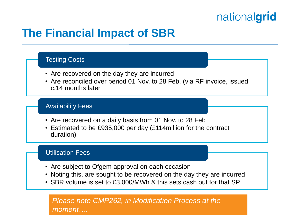## **The Financial Impact of SBR**

#### Testing Costs

- Are recovered on the day they are incurred
- Are reconciled over period 01 Nov. to 28 Feb. (via RF invoice, issued c.14 months later

#### Availability Fees

- Are recovered on a daily basis from 01 Nov. to 28 Feb
- Estimated to be £935,000 per day (£114million for the contract duration)

#### Utilisation Fees

- Are subject to Ofgem approval on each occasion
- Noting this, are sought to be recovered on the day they are incurred
- SBR volume is set to £3,000/MWh & this sets cash out for that SP

<sup>13</sup> *Please note CMP262, in Modification Process at the moment….*